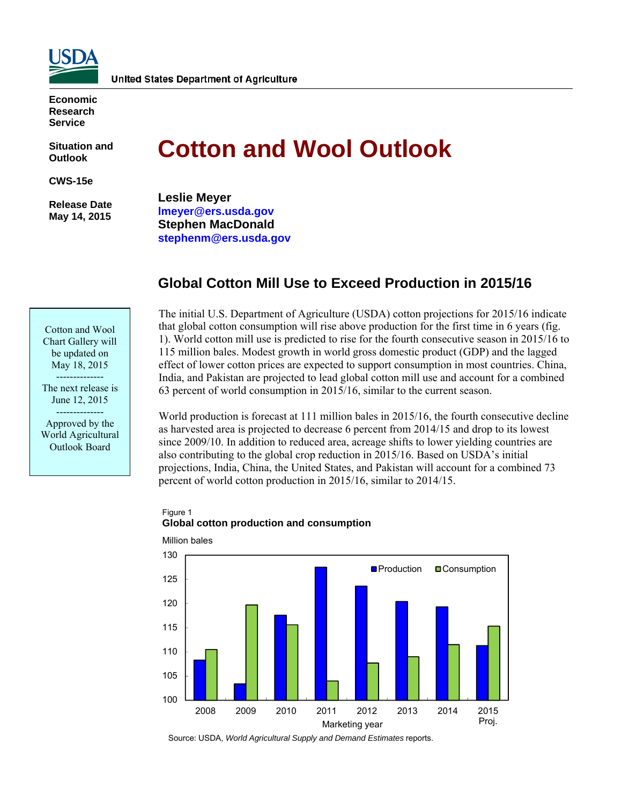

**Economic Research Service** 

**Situation and Outlook** 

**CWS-15e** 

 **Release Date May 14, 2015** 

# **Cotton and Wool Outlook**

**Leslie Meyer lmeyer@ers.usda.gov Stephen MacDonald stephenm@ers.usda.gov** 

## **Global Cotton Mill Use to Exceed Production in 2015/16**

Cotton and Wool Chart Gallery will be updated on May 18, 2015 --------------

The next release is June 12, 2015 --------------

Approved by the World Agricultural Outlook Board

The initial U.S. Department of Agriculture (USDA) cotton projections for 2015/16 indicate that global cotton consumption will rise above production for the first time in 6 years (fig. 1). World cotton mill use is predicted to rise for the fourth consecutive season in 2015/16 to 115 million bales. Modest growth in world gross domestic product (GDP) and the lagged effect of lower cotton prices are expected to support consumption in most countries. China, India, and Pakistan are projected to lead global cotton mill use and account for a combined 63 percent of world consumption in 2015/16, similar to the current season.

World production is forecast at 111 million bales in 2015/16, the fourth consecutive decline as harvested area is projected to decrease 6 percent from 2014/15 and drop to its lowest since 2009/10. In addition to reduced area, acreage shifts to lower yielding countries are also contributing to the global crop reduction in 2015/16. Based on USDA's initial projections, India, China, the United States, and Pakistan will account for a combined 73 percent of world cotton production in 2015/16, similar to 2014/15.



#### Figure 1 **Global cotton production and consumption**

Source: USDA, *World Agricultural Supply and Demand Estimates* reports.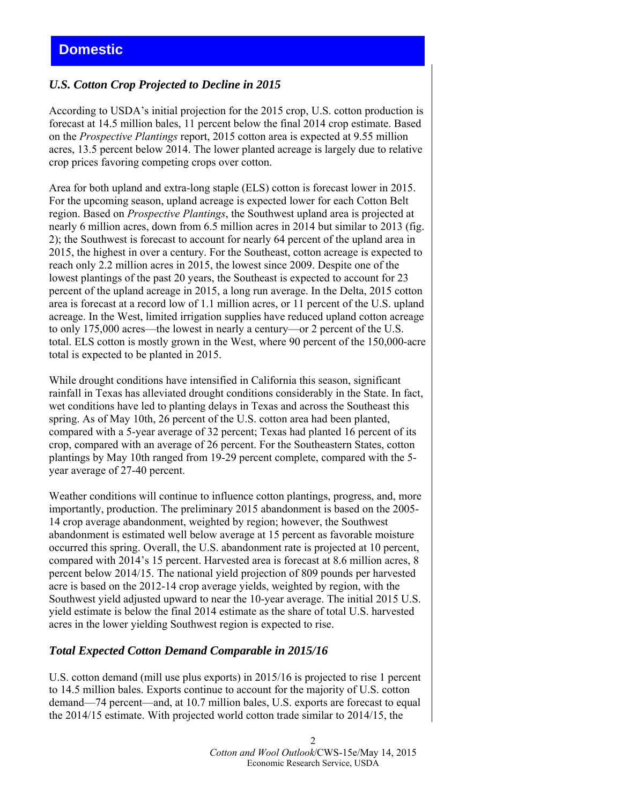#### *U.S. Cotton Crop Projected to Decline in 2015*

According to USDA's initial projection for the 2015 crop, U.S. cotton production is forecast at 14.5 million bales, 11 percent below the final 2014 crop estimate. Based on the *Prospective Plantings* report, 2015 cotton area is expected at 9.55 million acres, 13.5 percent below 2014. The lower planted acreage is largely due to relative crop prices favoring competing crops over cotton.

Area for both upland and extra-long staple (ELS) cotton is forecast lower in 2015. For the upcoming season, upland acreage is expected lower for each Cotton Belt region. Based on *Prospective Plantings*, the Southwest upland area is projected at nearly 6 million acres, down from 6.5 million acres in 2014 but similar to 2013 (fig. 2); the Southwest is forecast to account for nearly 64 percent of the upland area in 2015, the highest in over a century. For the Southeast, cotton acreage is expected to reach only 2.2 million acres in 2015, the lowest since 2009. Despite one of the lowest plantings of the past 20 years, the Southeast is expected to account for 23 percent of the upland acreage in 2015, a long run average. In the Delta, 2015 cotton area is forecast at a record low of 1.1 million acres, or 11 percent of the U.S. upland acreage. In the West, limited irrigation supplies have reduced upland cotton acreage to only 175,000 acres—the lowest in nearly a century—or 2 percent of the U.S. total. ELS cotton is mostly grown in the West, where 90 percent of the 150,000-acre total is expected to be planted in 2015.

While drought conditions have intensified in California this season, significant rainfall in Texas has alleviated drought conditions considerably in the State. In fact, wet conditions have led to planting delays in Texas and across the Southeast this spring. As of May 10th, 26 percent of the U.S. cotton area had been planted, compared with a 5-year average of 32 percent; Texas had planted 16 percent of its crop, compared with an average of 26 percent. For the Southeastern States, cotton plantings by May 10th ranged from 19-29 percent complete, compared with the 5 year average of 27-40 percent.

Weather conditions will continue to influence cotton plantings, progress, and, more importantly, production. The preliminary 2015 abandonment is based on the 2005- 14 crop average abandonment, weighted by region; however, the Southwest abandonment is estimated well below average at 15 percent as favorable moisture occurred this spring. Overall, the U.S. abandonment rate is projected at 10 percent, compared with 2014's 15 percent. Harvested area is forecast at 8.6 million acres, 8 percent below 2014/15. The national yield projection of 809 pounds per harvested acre is based on the 2012-14 crop average yields, weighted by region, with the Southwest yield adjusted upward to near the 10-year average. The initial 2015 U.S. yield estimate is below the final 2014 estimate as the share of total U.S. harvested acres in the lower yielding Southwest region is expected to rise.

#### *Total Expected Cotton Demand Comparable in 2015/16*

U.S. cotton demand (mill use plus exports) in 2015/16 is projected to rise 1 percent to 14.5 million bales. Exports continue to account for the majority of U.S. cotton demand—74 percent—and, at 10.7 million bales, U.S. exports are forecast to equal the 2014/15 estimate. With projected world cotton trade similar to 2014/15, the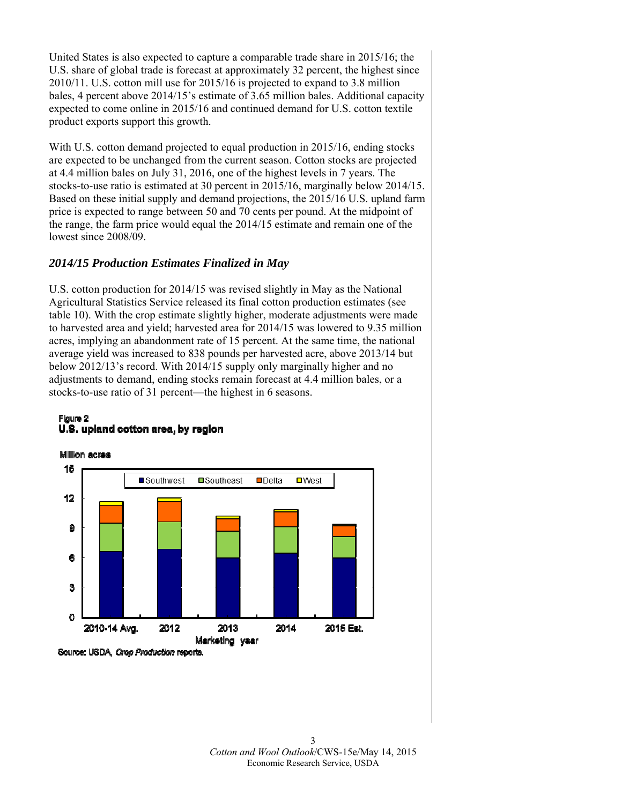United States is also expected to capture a comparable trade share in 2015/16; the U.S. share of global trade is forecast at approximately 32 percent, the highest since 2010/11. U.S. cotton mill use for 2015/16 is projected to expand to 3.8 million bales, 4 percent above 2014/15's estimate of 3.65 million bales. Additional capacity expected to come online in 2015/16 and continued demand for U.S. cotton textile product exports support this growth.

With U.S. cotton demand projected to equal production in 2015/16, ending stocks are expected to be unchanged from the current season. Cotton stocks are projected at 4.4 million bales on July 31, 2016, one of the highest levels in 7 years. The stocks-to-use ratio is estimated at 30 percent in 2015/16, marginally below 2014/15. Based on these initial supply and demand projections, the 2015/16 U.S. upland farm price is expected to range between 50 and 70 cents per pound. At the midpoint of the range, the farm price would equal the 2014/15 estimate and remain one of the lowest since 2008/09

### *2014/15 Production Estimates Finalized in May*

U.S. cotton production for 2014/15 was revised slightly in May as the National Agricultural Statistics Service released its final cotton production estimates (see table 10). With the crop estimate slightly higher, moderate adjustments were made to harvested area and yield; harvested area for 2014/15 was lowered to 9.35 million acres, implying an abandonment rate of 15 percent. At the same time, the national average yield was increased to 838 pounds per harvested acre, above 2013/14 but below 2012/13's record. With 2014/15 supply only marginally higher and no adjustments to demand, ending stocks remain forecast at 4.4 million bales, or a stocks-to-use ratio of 31 percent—the highest in 6 seasons.

#### Figure 2 U.S. upland cotton area, by region

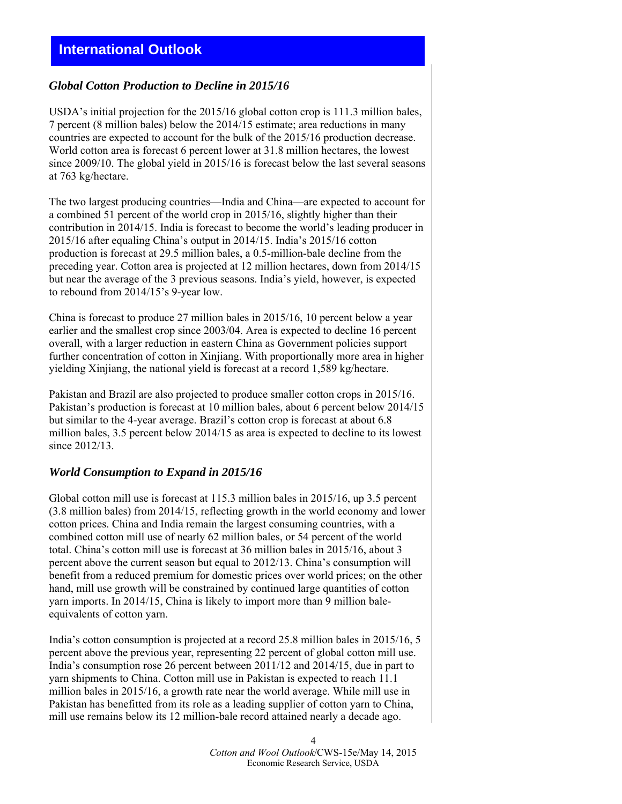# **International Outlook**

#### *Global Cotton Production to Decline in 2015/16*

USDA's initial projection for the 2015/16 global cotton crop is 111.3 million bales, 7 percent (8 million bales) below the 2014/15 estimate; area reductions in many countries are expected to account for the bulk of the 2015/16 production decrease. World cotton area is forecast 6 percent lower at 31.8 million hectares, the lowest since 2009/10. The global yield in 2015/16 is forecast below the last several seasons at 763 kg/hectare.

The two largest producing countries—India and China—are expected to account for a combined 51 percent of the world crop in 2015/16, slightly higher than their contribution in 2014/15. India is forecast to become the world's leading producer in 2015/16 after equaling China's output in 2014/15. India's 2015/16 cotton production is forecast at 29.5 million bales, a 0.5-million-bale decline from the preceding year. Cotton area is projected at 12 million hectares, down from 2014/15 but near the average of the 3 previous seasons. India's yield, however, is expected to rebound from 2014/15's 9-year low.

China is forecast to produce 27 million bales in 2015/16, 10 percent below a year earlier and the smallest crop since 2003/04. Area is expected to decline 16 percent overall, with a larger reduction in eastern China as Government policies support further concentration of cotton in Xinjiang. With proportionally more area in higher yielding Xinjiang, the national yield is forecast at a record 1,589 kg/hectare.

Pakistan and Brazil are also projected to produce smaller cotton crops in 2015/16. Pakistan's production is forecast at 10 million bales, about 6 percent below 2014/15 but similar to the 4-year average. Brazil's cotton crop is forecast at about 6.8 million bales, 3.5 percent below 2014/15 as area is expected to decline to its lowest since 2012/13.

#### *World Consumption to Expand in 2015/16*

Global cotton mill use is forecast at 115.3 million bales in 2015/16, up 3.5 percent (3.8 million bales) from 2014/15, reflecting growth in the world economy and lower cotton prices. China and India remain the largest consuming countries, with a combined cotton mill use of nearly 62 million bales, or 54 percent of the world total. China's cotton mill use is forecast at 36 million bales in 2015/16, about 3 percent above the current season but equal to 2012/13. China's consumption will benefit from a reduced premium for domestic prices over world prices; on the other hand, mill use growth will be constrained by continued large quantities of cotton yarn imports. In 2014/15, China is likely to import more than 9 million baleequivalents of cotton yarn.

India's cotton consumption is projected at a record 25.8 million bales in 2015/16, 5 percent above the previous year, representing 22 percent of global cotton mill use. India's consumption rose 26 percent between 2011/12 and 2014/15, due in part to yarn shipments to China. Cotton mill use in Pakistan is expected to reach 11.1 million bales in 2015/16, a growth rate near the world average. While mill use in Pakistan has benefitted from its role as a leading supplier of cotton yarn to China, mill use remains below its 12 million-bale record attained nearly a decade ago.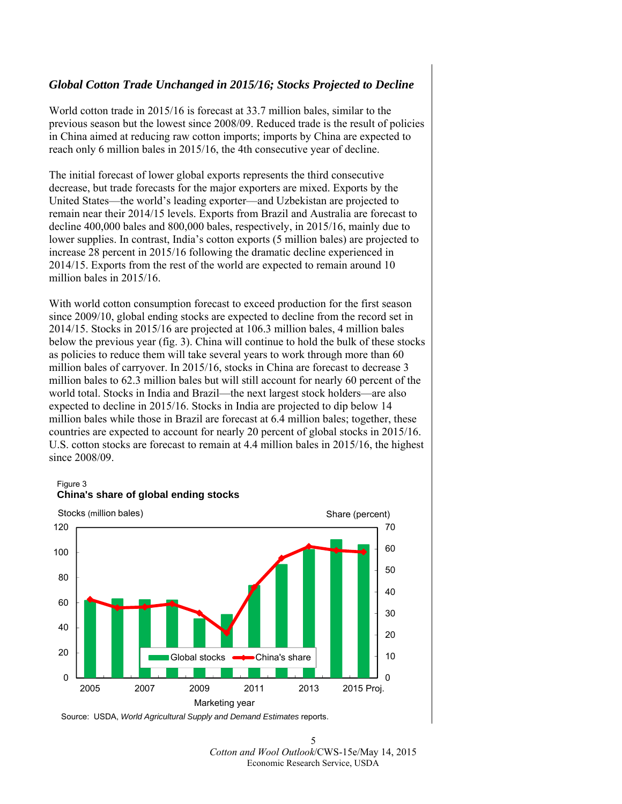#### *Global Cotton Trade Unchanged in 2015/16; Stocks Projected to Decline*

World cotton trade in 2015/16 is forecast at 33.7 million bales, similar to the previous season but the lowest since 2008/09. Reduced trade is the result of policies in China aimed at reducing raw cotton imports; imports by China are expected to reach only 6 million bales in 2015/16, the 4th consecutive year of decline.

The initial forecast of lower global exports represents the third consecutive decrease, but trade forecasts for the major exporters are mixed. Exports by the United States—the world's leading exporter—and Uzbekistan are projected to remain near their 2014/15 levels. Exports from Brazil and Australia are forecast to decline 400,000 bales and 800,000 bales, respectively, in 2015/16, mainly due to lower supplies. In contrast, India's cotton exports (5 million bales) are projected to increase 28 percent in 2015/16 following the dramatic decline experienced in 2014/15. Exports from the rest of the world are expected to remain around 10 million bales in 2015/16.

With world cotton consumption forecast to exceed production for the first season since 2009/10, global ending stocks are expected to decline from the record set in 2014/15. Stocks in 2015/16 are projected at 106.3 million bales, 4 million bales below the previous year (fig. 3). China will continue to hold the bulk of these stocks as policies to reduce them will take several years to work through more than 60 million bales of carryover. In 2015/16, stocks in China are forecast to decrease 3 million bales to 62.3 million bales but will still account for nearly 60 percent of the world total. Stocks in India and Brazil—the next largest stock holders—are also expected to decline in 2015/16. Stocks in India are projected to dip below 14 million bales while those in Brazil are forecast at 6.4 million bales; together, these countries are expected to account for nearly 20 percent of global stocks in 2015/16. U.S. cotton stocks are forecast to remain at 4.4 million bales in 2015/16, the highest since 2008/09.

#### Figure 3



## **China's share of global ending stocks**

Source: USDA, *World Agricultural Supply and Demand Estimates* reports.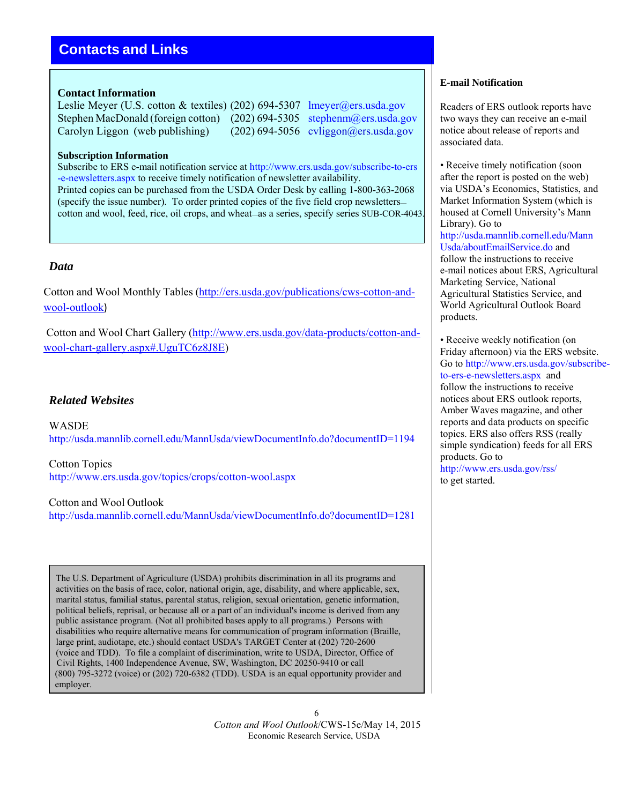# **Contacts and Links**

#### **Contact Information**

Leslie Meyer (U.S. cotton & textiles) (202) 694-5307 lmeyer@ers.usda.gov Stephen MacDonald (foreign cotton) (202) 694-5305 stephenm@ers.usda.gov Carolyn Liggon (web publishing) (202) 694-5056 cyliggon@ers.usda.gov

#### **Subscription Information**

Subscribe to ERS e-mail notification service at http://www.ers.usda.gov/subscribe-to-ers -e-newsletters.aspx to receive timely notification of newsletter availability. Printed copies can be purchased from the USDA Order Desk by calling 1-800-363-2068 (specify the issue number). To order printed copies of the five field crop newsletters cotton and wool, feed, rice, oil crops, and wheat—as a series, specify series SUB-COR-4043.

#### *Data*

Cotton and Wool Monthly Tables (http://ers.usda.gov/publications/cws-cotton-andwool-outlook)

Cotton and Wool Chart Gallery (http://www.ers.usda.gov/data-products/cotton-andwool-chart-gallery.aspx#.UguTC6z8J8E)

#### *Related Websites*

WASDE http://usda.mannlib.cornell.edu/MannUsda/viewDocumentInfo.do?documentID=1194

Cotton Topics http://www.ers.usda.gov/topics/crops/cotton-wool.aspx

Cotton and Wool Outlook http://usda.mannlib.cornell.edu/MannUsda/viewDocumentInfo.do?documentID=1281

The U.S. Department of Agriculture (USDA) prohibits discrimination in all its programs and activities on the basis of race, color, national origin, age, disability, and where applicable, sex, marital status, familial status, parental status, religion, sexual orientation, genetic information, political beliefs, reprisal, or because all or a part of an individual's income is derived from any public assistance program. (Not all prohibited bases apply to all programs.) Persons with disabilities who require alternative means for communication of program information (Braille, large print, audiotape, etc.) should contact USDA's TARGET Center at (202) 720-2600 (voice and TDD). To file a complaint of discrimination, write to USDA, Director, Office of Civil Rights, 1400 Independence Avenue, SW, Washington, DC 20250-9410 or call (800) 795-3272 (voice) or (202) 720-6382 (TDD). USDA is an equal opportunity provider and employer.

#### **E-mail Notification**

Readers of ERS outlook reports have two ways they can receive an e-mail notice about release of reports and associated data.

• Receive timely notification (soon) after the report is posted on the web) via USDA's Economics, Statistics, and Market Information System (which is housed at Cornell University's Mann Library). Go to http://usda.mannlib.cornell.edu/Mann Usda/aboutEmailService.do and follow the instructions to receive e-mail notices about ERS, Agricultural Marketing Service, National Agricultural Statistics Service, and World Agricultural Outlook Board products.

• Receive weekly notification (on Friday afternoon) via the ERS website. Go to http://www.ers.usda.gov/subscribeto-ers-e-newsletters.aspx and follow the instructions to receive notices about ERS outlook reports, Amber Waves magazine, and other reports and data products on specific topics. ERS also offers RSS (really simple syndication) feeds for all ERS products. Go to http://www.ers.usda.gov/rss/ to get started.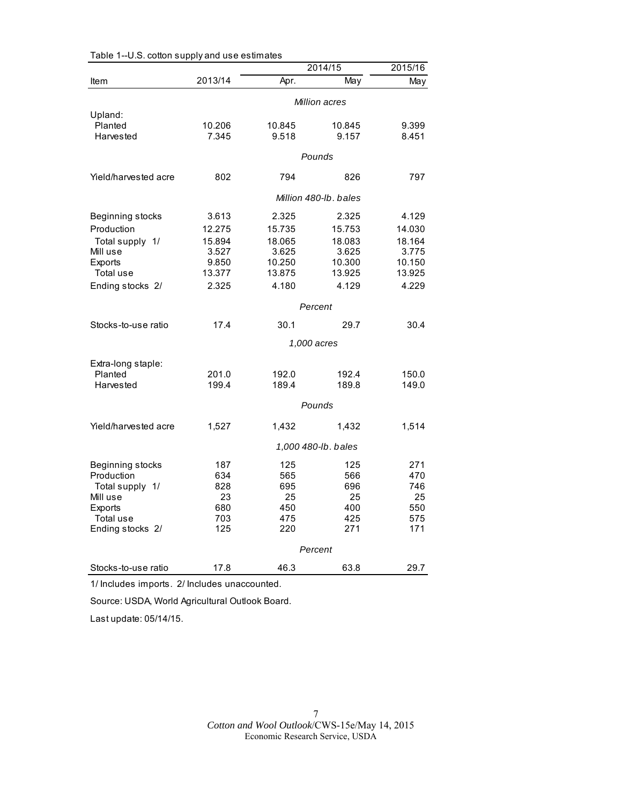|                      |               |         | 2014/15               | 2015/16 |  |
|----------------------|---------------|---------|-----------------------|---------|--|
| Item                 | 2013/14       | Apr.    | May                   | May     |  |
|                      | Million acres |         |                       |         |  |
| Upland:              |               |         |                       |         |  |
| Planted              | 10.206        | 10.845  | 10.845                | 9.399   |  |
| <b>Harvested</b>     | 7.345         | 9.518   | 9.157                 | 8.451   |  |
|                      |               |         | Pounds                |         |  |
| Yield/harvested acre | 802           | 794     | 826                   | 797     |  |
|                      |               |         | Million 480-lb, bales |         |  |
| Beginning stocks     | 3.613         | 2.325   | 2.325                 | 4.129   |  |
| Production           | 12.275        | 15.735  | 15.753                | 14.030  |  |
| Total supply 1/      | 15.894        | 18.065  | 18.083                | 18.164  |  |
| Mill use             | 3.527         | 3.625   | 3.625                 | 3.775   |  |
| Exports              | 9.850         | 10.250  | 10.300                | 10.150  |  |
| Total use            | 13.377        | 13.875  | 13.925                | 13.925  |  |
| Ending stocks 2/     | 2.325         | 4.180   | 4.129                 | 4.229   |  |
|                      |               | Percent |                       |         |  |
| Stocks-to-use ratio  | 17.4          | 30.1    | 29.7                  | 30.4    |  |
|                      |               |         | 1,000 acres           |         |  |
| Extra-long staple:   |               |         |                       |         |  |
| Planted              | 201.0         | 192.0   | 192.4                 | 150.0   |  |
| Harvested            | 199.4         | 189.4   | 189.8                 | 149.0   |  |
|                      |               |         | Pounds                |         |  |
| Yield/harvested acre | 1,527         | 1,432   | 1,432                 | 1,514   |  |
|                      |               |         | 1,000 480-lb. bales   |         |  |
| Beginning stocks     | 187           | 125     | 125                   | 271     |  |
| Production           | 634           | 565     | 566                   | 470     |  |
| Total supply 1/      | 828           | 695     | 696                   | 746     |  |
| Mill use             | 23            | 25      | 25                    | 25      |  |
| <b>Exports</b>       | 680           | 450     | 400                   | 550     |  |
| Total use            | 703           | 475     | 425                   | 575     |  |
| Ending stocks 2/     | 125           | 220     | 271                   | 171     |  |
|                      |               |         | Percent               |         |  |
| Stocks-to-use ratio  | 17.8          | 46.3    | 63.8                  | 29.7    |  |

1/ Includes imports. 2/ Includes unaccounted.

Source: USDA, World Agricultural Outlook Board.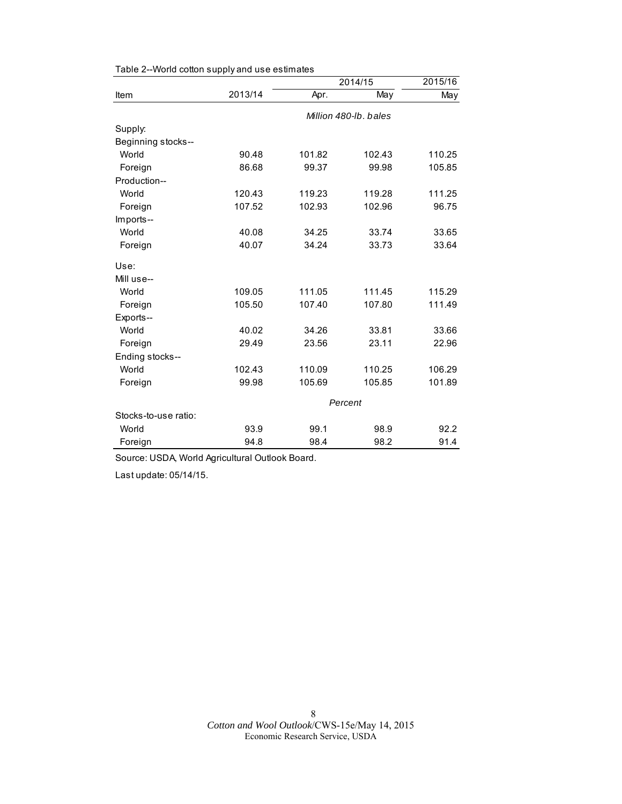|                      |         | 2014/15 | 2015/16               |        |
|----------------------|---------|---------|-----------------------|--------|
| Item                 | 2013/14 | Apr.    | May                   | May    |
|                      |         |         | Million 480-lb, bales |        |
| Supply:              |         |         |                       |        |
| Beginning stocks--   |         |         |                       |        |
| World                | 90.48   | 101.82  | 102.43                | 110.25 |
| Foreign              | 86.68   | 99.37   | 99.98                 | 105.85 |
| Production--         |         |         |                       |        |
| World                | 120.43  | 119.23  | 119.28                | 111.25 |
| Foreign              | 107.52  | 102.93  | 102.96                | 96.75  |
| Imports--            |         |         |                       |        |
| World                | 40.08   | 34.25   | 33.74                 | 33.65  |
| Foreign              | 40.07   | 34.24   | 33.73                 | 33.64  |
| Use:                 |         |         |                       |        |
| Mill use--           |         |         |                       |        |
| World                | 109.05  | 111.05  | 111.45                | 115.29 |
| Foreign              | 105.50  | 107.40  | 107.80                | 111.49 |
| Exports--            |         |         |                       |        |
| World                | 40.02   | 34.26   | 33.81                 | 33.66  |
| Foreign              | 29.49   | 23.56   | 23.11                 | 22.96  |
| Ending stocks--      |         |         |                       |        |
| World                | 102.43  | 110.09  | 110.25                | 106.29 |
| Foreign              | 99.98   | 105.69  | 105.85                | 101.89 |
|                      |         |         | Percent               |        |
| Stocks-to-use ratio: |         |         |                       |        |
| World                | 93.9    | 99.1    | 98.9                  | 92.2   |
| Foreign              | 94.8    | 98.4    | 98.2                  | 91.4   |

Table 2--World cotton supply and use estimates

Source: USDA, World Agricultural Outlook Board.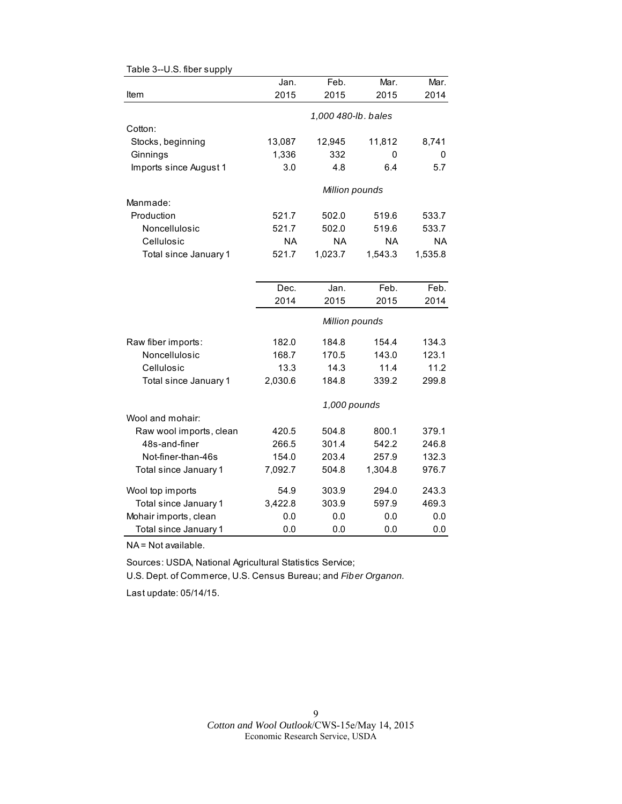|                         | Jan.                | Feb.           | Mar.      | Mar.      |  |
|-------------------------|---------------------|----------------|-----------|-----------|--|
| Item                    | 2015                | 2015           | 2015      | 2014      |  |
|                         | 1,000 480-lb. bales |                |           |           |  |
| Cotton:                 |                     |                |           |           |  |
| Stocks, beginning       | 13,087              | 12,945         | 11,812    | 8,741     |  |
| Ginnings                | 1,336               | 332            | 0         | 0         |  |
| Imports since August 1  | 3.0                 | 4.8            | 6.4       | 5.7       |  |
|                         |                     | Million pounds |           |           |  |
| Manmade:                |                     |                |           |           |  |
| Production              | 521.7               | 502.0          | 519.6     | 533.7     |  |
| Noncellulosic           | 521.7               | 502.0          | 519.6     | 533.7     |  |
| Cellulosic              | NA                  | <b>NA</b>      | <b>NA</b> | <b>NA</b> |  |
| Total since January 1   | 521.7               | 1,023.7        | 1,543.3   | 1,535.8   |  |
|                         |                     |                |           |           |  |
|                         | Dec.                | Jan.           | Feb.      | Feb.      |  |
|                         | 2014                | 2015           | 2015      | 2014      |  |
|                         |                     | Million pounds |           |           |  |
| Raw fiber imports:      | 182.0               | 184.8          | 154.4     | 134.3     |  |
| Noncellulosic           | 168.7               | 170.5          | 143.0     | 123.1     |  |
| Cellulosic              | 13.3                | 14.3           | 11.4      | 11.2      |  |
| Total since January 1   | 2,030.6             | 184.8          | 339.2     | 299.8     |  |
|                         |                     | 1,000 pounds   |           |           |  |
| Wool and mohair:        |                     |                |           |           |  |
| Raw wool imports, clean | 420.5               | 504.8          | 800.1     | 379.1     |  |
| 48s-and-finer           | 266.5               | 301.4          | 542.2     | 246.8     |  |
| Not-finer-than-46s      | 154.0               | 203.4          | 257.9     | 132.3     |  |
| Total since January 1   | 7,092.7             | 504.8          | 1,304.8   | 976.7     |  |
| Wool top imports        | 54.9                | 303.9          | 294.0     | 243.3     |  |
| Total since January 1   | 3,422.8             | 303.9          | 597.9     | 469.3     |  |
| Mohair imports, clean   | 0.0                 | 0.0            | 0.0       | 0.0       |  |
| Total since January 1   | 0.0                 | 0.0            | 0.0       | 0.0       |  |

Table 3--U.S. fiber supply

NA = Not available.

Sources: USDA, National Agricultural Statistics Service;

U.S. Dept. of Commerce, U.S. Census Bureau; and *Fiber Organon.*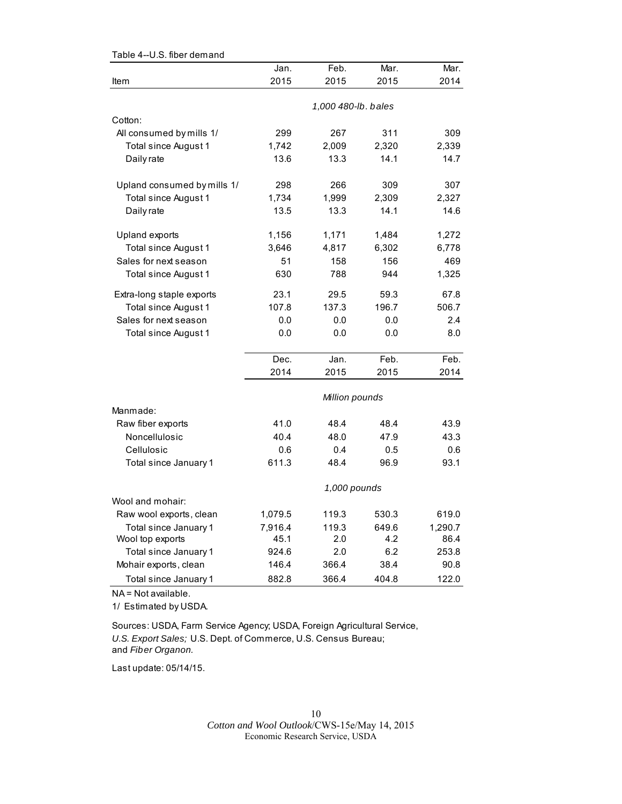| Table 4--U.S. fiber demand  |         |                     |       |         |
|-----------------------------|---------|---------------------|-------|---------|
|                             | Jan.    | Feb.                | Mar.  | Mar.    |
| Item                        | 2015    | 2015                | 2015  | 2014    |
|                             |         |                     |       |         |
|                             |         | 1,000 480-lb. bales |       |         |
| Cotton:                     |         |                     |       |         |
| All consumed by mills 1/    | 299     | 267                 | 311   | 309     |
| Total since August 1        | 1,742   | 2,009               | 2,320 | 2,339   |
| Daily rate                  | 13.6    | 13.3                | 14.1  | 14.7    |
| Upland consumed by mills 1/ | 298     | 266                 | 309   | 307     |
| Total since August 1        | 1,734   | 1,999               | 2,309 | 2,327   |
| Daily rate                  | 13.5    | 13.3                | 14.1  | 14.6    |
|                             |         |                     |       |         |
| Upland exports              | 1,156   | 1,171               | 1,484 | 1,272   |
| Total since August 1        | 3,646   | 4,817               | 6,302 | 6,778   |
| Sales for next season       | 51      | 158                 | 156   | 469     |
| Total since August 1        | 630     | 788                 | 944   | 1,325   |
| Extra-long staple exports   | 23.1    | 29.5                | 59.3  | 67.8    |
| Total since August 1        | 107.8   | 137.3               | 196.7 | 506.7   |
| Sales for next season       | 0.0     | 0.0                 | 0.0   | 2.4     |
| Total since August 1        | 0.0     | 0.0                 | 0.0   | 8.0     |
|                             | Dec.    | Jan.                | Feb.  | Feb.    |
|                             | 2014    | 2015                | 2015  | 2014    |
|                             |         |                     |       |         |
|                             |         | Million pounds      |       |         |
| Manmade:                    |         |                     |       |         |
| Raw fiber exports           | 41.0    | 48.4                | 48.4  | 43.9    |
| Noncellulosic               | 40.4    | 48.0                | 47.9  | 43.3    |
| Cellulosic                  | 0.6     | 0.4                 | 0.5   | 0.6     |
| Total since January 1       | 611.3   | 48.4                | 96.9  | 93.1    |
|                             |         | 1,000 pounds        |       |         |
| Wool and mohair:            |         |                     |       |         |
| Raw wool exports, clean     | 1,079.5 | 119.3               | 530.3 | 619.0   |
| Total since January 1       | 7,916.4 | 119.3               | 649.6 | 1,290.7 |
| Wool top exports            | 45.1    | 2.0                 | 4.2   | 86.4    |
| Total since January 1       | 924.6   | 2.0                 | 6.2   | 253.8   |
| Mohair exports, clean       | 146.4   | 366.4               | 38.4  | 90.8    |
| Total since January 1       | 882.8   | 366.4               | 404.8 | 122.0   |

NA = Not available.

1/ Estimated by USDA.

Sources: USDA, Farm Service Agency; USDA, Foreign Agricultural Service, *U.S. Export Sales;* U.S. Dept. of Commerce, U.S. Census Bureau; and *Fiber Organon.*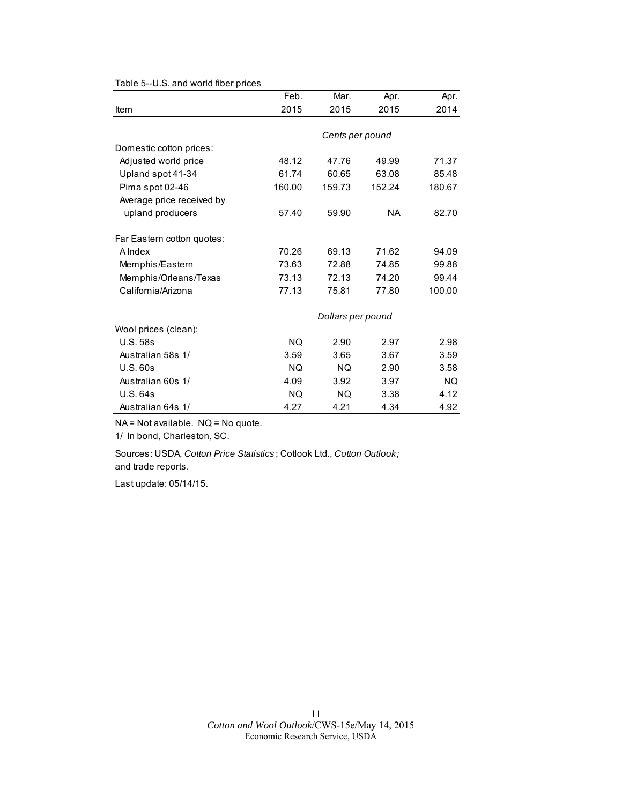|                            | Feb.      | Mar.              | Apr.      | Apr.      |
|----------------------------|-----------|-------------------|-----------|-----------|
| Item                       | 2015      | 2015              | 2015      | 2014      |
|                            |           |                   |           |           |
|                            |           | Cents per pound   |           |           |
| Domestic cotton prices:    |           |                   |           |           |
| Adjusted world price       | 48.12     | 47.76             | 49.99     | 71.37     |
| Upland spot 41-34          | 61.74     | 60.65             | 63.08     | 85.48     |
| Pima spot 02-46            | 160.00    | 159.73            | 152.24    | 180.67    |
| Average price received by  |           |                   |           |           |
| upland producers           | 57.40     | 59.90             | <b>NA</b> | 82.70     |
| Far Eastern cotton quotes: |           |                   |           |           |
| <b>A</b> Index             | 70.26     | 69.13             | 71.62     | 94.09     |
| Memphis/Eastern            | 73.63     | 72.88             | 74.85     | 99.88     |
| Memphis/Orleans/Texas      | 73.13     | 72.13             | 74.20     | 99.44     |
| California/Arizona         | 77.13     | 75.81             | 77.80     | 100.00    |
|                            |           | Dollars per pound |           |           |
| Wool prices (clean):       |           |                   |           |           |
| <b>U.S. 58s</b>            | <b>NQ</b> | 2.90              | 2.97      | 2.98      |
| Australian 58s 1/          | 3.59      | 3.65              | 3.67      | 3.59      |
| U.S.60s                    | <b>NQ</b> | <b>NQ</b>         | 2.90      | 3.58      |
| Australian 60s 1/          | 4.09      | 3.92              | 3.97      | <b>NQ</b> |
| <b>U.S. 64s</b>            | <b>NQ</b> | NQ.               | 3.38      | 4.12      |
| Australian 64s 1/          | 4.27      | 4.21              | 4.34      | 4.92      |

Table 5--U.S. and world fiber prices

NA = Not available. NQ = No quote.

1/ In bond, Charleston, SC.

Sources: USDA, *Cotton Price Statistics* ; Cotlook Ltd., *Cotton Outlook;*  and trade reports.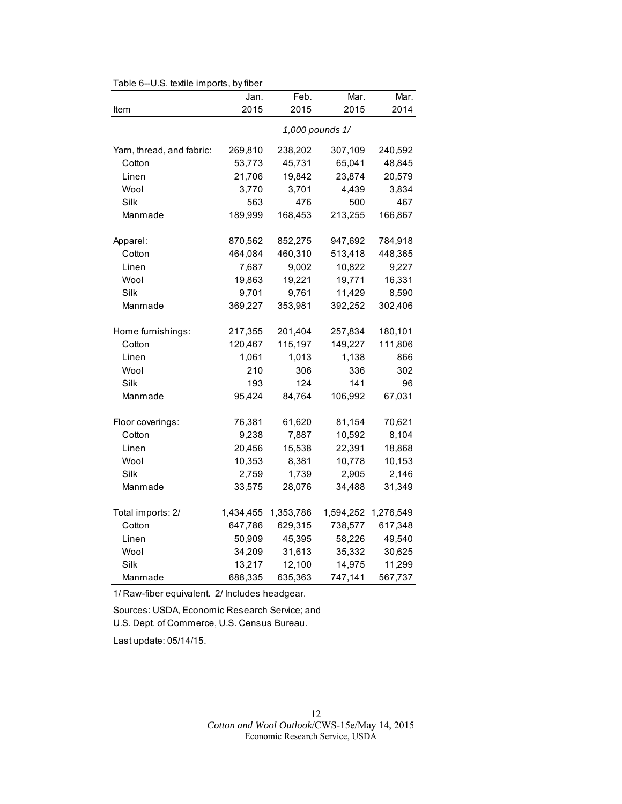|                           | Jan.      | Feb.      | Mar.            | Mar.      |
|---------------------------|-----------|-----------|-----------------|-----------|
| Item                      | 2015      | 2015      | 2015            | 2014      |
|                           |           |           | 1,000 pounds 1/ |           |
| Yarn, thread, and fabric: | 269,810   | 238,202   | 307,109         | 240,592   |
| Cotton                    | 53,773    | 45,731    | 65,041          | 48,845    |
| Linen                     | 21,706    | 19,842    | 23,874          | 20,579    |
| Wool                      | 3,770     | 3,701     | 4,439           | 3,834     |
| Silk                      | 563       | 476       | 500             | 467       |
| Manmade                   | 189,999   | 168,453   | 213,255         | 166,867   |
| Apparel:                  | 870,562   | 852,275   | 947,692         | 784,918   |
| Cotton                    | 464,084   | 460,310   | 513,418         | 448,365   |
| Linen                     | 7,687     | 9,002     | 10,822          | 9,227     |
| Wool                      | 19,863    | 19,221    | 19,771          | 16,331    |
| Silk                      | 9,701     | 9,761     | 11,429          | 8,590     |
| Manmade                   | 369,227   | 353,981   | 392,252         | 302,406   |
| Home furnishings:         | 217,355   | 201,404   | 257,834         | 180,101   |
| Cotton                    | 120,467   | 115,197   | 149,227         | 111,806   |
| Linen                     | 1,061     | 1,013     | 1,138           | 866       |
| Wool                      | 210       | 306       | 336             | 302       |
| Silk                      | 193       | 124       | 141             | 96        |
| Manmade                   | 95,424    | 84,764    | 106,992         | 67,031    |
| Floor coverings:          | 76,381    | 61,620    | 81,154          | 70,621    |
| Cotton                    | 9,238     | 7,887     | 10,592          | 8,104     |
| Linen                     | 20,456    | 15,538    | 22,391          | 18,868    |
| Wool                      | 10,353    | 8,381     | 10,778          | 10,153    |
| Silk                      | 2,759     | 1,739     | 2,905           | 2,146     |
| Manmade                   | 33,575    | 28,076    | 34,488          | 31,349    |
| Total imports: 2/         | 1,434,455 | 1,353,786 | 1,594,252       | 1,276,549 |
| Cotton                    | 647,786   | 629,315   | 738,577         | 617,348   |
| Linen                     | 50,909    | 45,395    | 58,226          | 49,540    |
| Wool                      | 34,209    | 31,613    | 35,332          | 30,625    |
| Silk                      | 13,217    | 12,100    | 14,975          | 11,299    |
| Manmade                   | 688,335   | 635,363   | 747,141         | 567,737   |

Table 6--U.S. textile imports, by fiber

1/ Raw-fiber equivalent. 2/ Includes headgear.

Sources: USDA, Economic Research Service; and U.S. Dept. of Commerce, U.S. Census Bureau.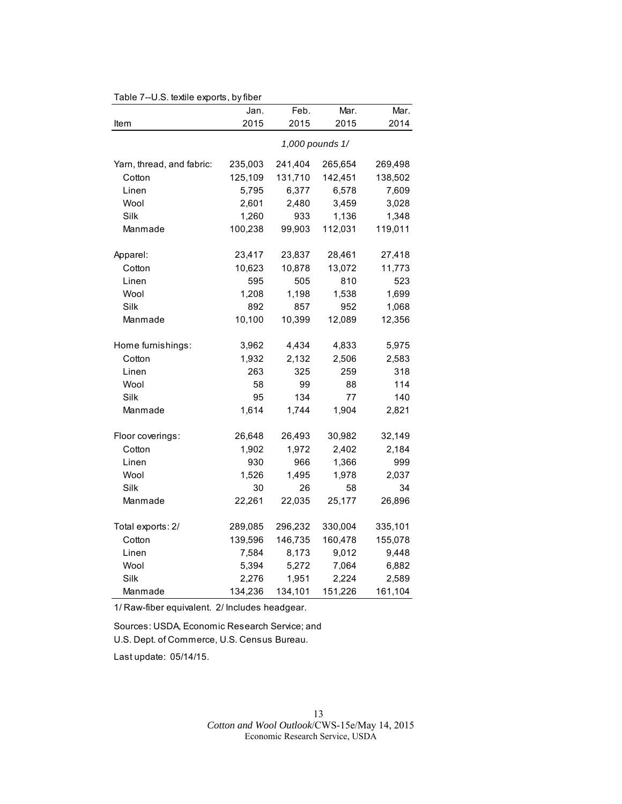| rable $t$ --0.5. lexifie exports, by liber | Jan.            | Feb.    | Mar.    | Mar.    |  |
|--------------------------------------------|-----------------|---------|---------|---------|--|
| Item                                       | 2015            | 2015    | 2015    | 2014    |  |
|                                            | 1,000 pounds 1/ |         |         |         |  |
| Yarn, thread, and fabric:                  | 235,003         | 241,404 | 265,654 | 269,498 |  |
| Cotton                                     | 125,109         | 131,710 | 142,451 | 138,502 |  |
| Linen                                      | 5,795           | 6,377   | 6,578   | 7,609   |  |
| Wool                                       | 2,601           | 2,480   | 3,459   | 3,028   |  |
| Silk                                       | 1,260           | 933     | 1,136   | 1,348   |  |
| Manmade                                    | 100,238         | 99,903  | 112,031 | 119,011 |  |
| Apparel:                                   | 23,417          | 23,837  | 28,461  | 27,418  |  |
| Cotton                                     | 10,623          | 10,878  | 13,072  | 11,773  |  |
| Linen                                      | 595             | 505     | 810     | 523     |  |
| Wool                                       | 1,208           | 1,198   | 1,538   | 1,699   |  |
| Silk                                       | 892             | 857     | 952     | 1,068   |  |
| Manmade                                    | 10,100          | 10,399  | 12,089  | 12,356  |  |
| Home furnishings:                          | 3,962           | 4,434   | 4,833   | 5,975   |  |
| Cotton                                     | 1,932           | 2,132   | 2,506   | 2,583   |  |
| Linen                                      | 263             | 325     | 259     | 318     |  |
| Wool                                       | 58              | 99      | 88      | 114     |  |
| Silk                                       | 95              | 134     | 77      | 140     |  |
| Manmade                                    | 1,614           | 1,744   | 1,904   | 2,821   |  |
| Floor coverings:                           | 26,648          | 26,493  | 30,982  | 32,149  |  |
| Cotton                                     | 1,902           | 1,972   | 2,402   | 2,184   |  |
| Linen                                      | 930             | 966     | 1,366   | 999     |  |
| Wool                                       | 1,526           | 1,495   | 1,978   | 2,037   |  |
| Silk                                       | 30              | 26      | 58      | 34      |  |
| Manmade                                    | 22,261          | 22,035  | 25,177  | 26,896  |  |
| Total exports: 2/                          | 289,085         | 296,232 | 330,004 | 335,101 |  |
| Cotton                                     | 139,596         | 146,735 | 160,478 | 155,078 |  |
| Linen                                      | 7,584           | 8,173   | 9,012   | 9,448   |  |
| Wool                                       | 5,394           | 5,272   | 7,064   | 6,882   |  |
| Silk                                       | 2,276           | 1,951   | 2,224   | 2,589   |  |
| Manmade                                    | 134,236         | 134,101 | 151,226 | 161,104 |  |

## Table 7--U.S. textile exports, by fiber

1/ Raw-fiber equivalent. 2/ Includes headgear.

Sources: USDA, Economic Research Service; and U.S. Dept. of Commerce, U.S. Census Bureau.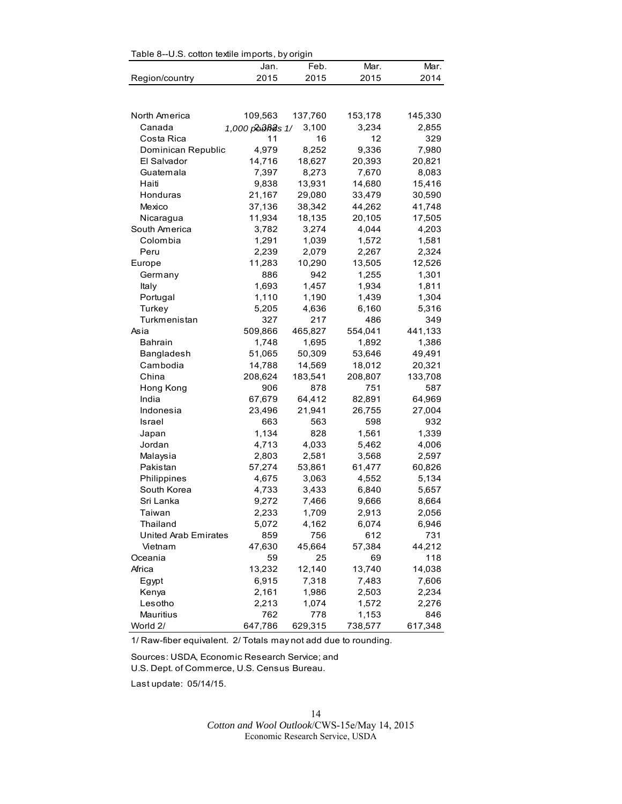| Table 8--U.S. cotton textile imports, by origin |                 |                |                |         |  |  |
|-------------------------------------------------|-----------------|----------------|----------------|---------|--|--|
|                                                 | Jan.            | Feb.           | Mar.           | Mar.    |  |  |
| Region/country                                  | 2015            | 2015           | 2015           | 2014    |  |  |
|                                                 |                 |                |                |         |  |  |
|                                                 |                 |                |                |         |  |  |
|                                                 |                 |                |                |         |  |  |
| North America                                   | 109,563         | 137,760        | 153,178        | 145,330 |  |  |
| Canada                                          | 1,000 podRds 1/ | 3,100          | 3,234          | 2,855   |  |  |
| Costa Rica                                      | 11              | 16             | 12             | 329     |  |  |
| Dominican Republic                              | 4,979           | 8,252          | 9,336          | 7,980   |  |  |
| El Salvador                                     | 14,716          | 18,627         | 20,393         | 20,821  |  |  |
| Guatemala                                       | 7,397           | 8,273          | 7,670          | 8,083   |  |  |
| Haiti                                           | 9,838           | 13,931         | 14,680         | 15,416  |  |  |
| Honduras                                        | 21,167          | 29,080         | 33,479         | 30,590  |  |  |
| Mexico                                          | 37,136          | 38,342         | 44,262         | 41,748  |  |  |
| Nicaragua                                       | 11,934          | 18,135         | 20,105         | 17,505  |  |  |
| South America                                   | 3,782           | 3,274          | 4,044          | 4,203   |  |  |
| Colombia                                        | 1,291           | 1,039          | 1,572          | 1,581   |  |  |
| Peru                                            | 2,239           | 2,079          | 2,267          | 2,324   |  |  |
| Europe                                          | 11,283          | 10,290         | 13,505         | 12,526  |  |  |
| Germany                                         | 886             | 942            | 1,255          | 1,301   |  |  |
| Italy                                           | 1,693           | 1,457          | 1,934          | 1,811   |  |  |
| Portugal                                        | 1,110           | 1,190          | 1,439          | 1,304   |  |  |
| Turkey                                          | 5,205           | 4,636          | 6,160          | 5,316   |  |  |
| Turkmenistan                                    | 327             | 217            | 486            | 349     |  |  |
| Asia                                            | 509,866         | 465,827        | 554,041        | 441,133 |  |  |
| <b>Bahrain</b>                                  | 1,748           | 1,695          | 1,892          | 1,386   |  |  |
| Bangladesh                                      | 51,065          | 50,309         | 53,646         | 49,491  |  |  |
| Cambodia                                        | 14,788          | 14,569         | 18,012         | 20,321  |  |  |
| China                                           | 208,624         | 183,541        | 208,807        | 133,708 |  |  |
| Hong Kong                                       | 906             | 878            | 751            | 587     |  |  |
| India                                           | 67,679          | 64,412         | 82,891         | 64,969  |  |  |
| Indonesia                                       | 23,496          | 21,941         | 26,755         | 27,004  |  |  |
| Israel                                          | 663             | 563            | 598            | 932     |  |  |
| Japan                                           | 1,134           | 828            | 1,561          | 1,339   |  |  |
| Jordan                                          | 4,713           | 4,033          | 5,462          | 4,006   |  |  |
| Malaysia                                        | 2,803           | 2,581          | 3,568          | 2,597   |  |  |
| Pakistan                                        | 57,274          | 53,861         | 61,477         | 60,826  |  |  |
| Philippines                                     | 4,675           | 3,063          | 4,552          | 5,134   |  |  |
| South Korea                                     | 4,733           | 3,433          | 6,840          | 5,657   |  |  |
| Sri Lanka                                       | 9,272           | 7,466          | 9,666          | 8,664   |  |  |
| Taiwan                                          | 2,233           | 1,709          | 2,913          | 2,056   |  |  |
| Thailand                                        | 5,072           | 4,162          | 6,074          | 6,946   |  |  |
| United Arab Emirates                            | 859             | 756            | 612            | 731     |  |  |
| Vietnam                                         | 47,630          | 45,664         | 57,384         | 44,212  |  |  |
| Oceania                                         | 59              | 25             | 69             | 118     |  |  |
| Africa                                          | 13,232          | 12,140         | 13,740         | 14,038  |  |  |
|                                                 |                 | 7,318          |                |         |  |  |
| Egypt                                           | 6,915           |                | 7,483          | 7,606   |  |  |
| Kenya<br>Lesotho                                | 2,161           | 1,986<br>1,074 | 2,503          | 2,234   |  |  |
|                                                 | 2,213<br>762    |                | 1,572<br>1,153 | 2,276   |  |  |
| Mauritius<br>World 2/                           |                 | 778            | 738,577        | 846     |  |  |
|                                                 | 647,786         | 629,315        |                | 617,348 |  |  |

Table 8--U.S. cotton textile imports, by origin

1/ Raw-fiber equivalent. 2/ Totals may not add due to rounding.

Sources: USDA, Economic Research Service; and U.S. Dept. of Commerce, U.S. Census Bureau.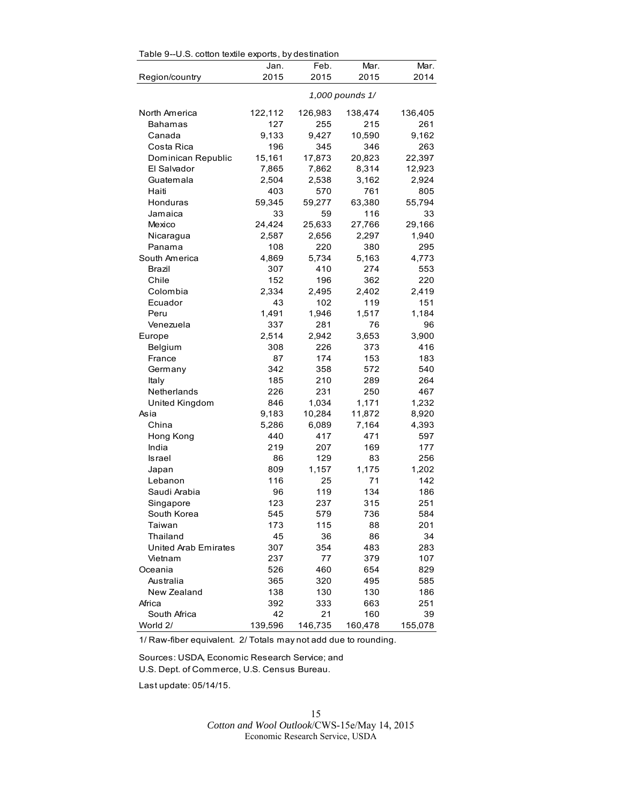| Table 9--U.S. cotton textile exports, by destination |  |  |  |  |
|------------------------------------------------------|--|--|--|--|
|------------------------------------------------------|--|--|--|--|

|                      | Jan.    | Feb.    | Mar.            | Mar.    |
|----------------------|---------|---------|-----------------|---------|
| Region/country       | 2015    | 2015    | 2015            | 2014    |
|                      |         |         | 1,000 pounds 1/ |         |
| North America        | 122,112 | 126,983 | 138,474         | 136,405 |
| Bahamas              | 127     | 255     | 215             | 261     |
| Canada               | 9,133   | 9,427   | 10,590          | 9,162   |
| Costa Rica           | 196     | 345     | 346             | 263     |
| Dominican Republic   | 15,161  | 17,873  | 20,823          | 22,397  |
| El Salvador          | 7,865   | 7,862   | 8,314           | 12,923  |
| Guatemala            | 2,504   | 2,538   | 3,162           | 2,924   |
| Haiti                | 403     | 570     | 761             | 805     |
| Honduras             | 59,345  | 59,277  | 63,380          | 55,794  |
| Jamaica              | 33      | 59      | 116             | 33      |
| Mexico               | 24,424  | 25,633  | 27,766          | 29,166  |
| Nicaragua            | 2,587   | 2,656   | 2,297           | 1,940   |
| Panama               | 108     | 220     | 380             | 295     |
| South America        | 4,869   | 5,734   | 5,163           | 4,773   |
| Brazil               | 307     | 410     | 274             | 553     |
| Chile                | 152     | 196     | 362             | 220     |
| Colombia             | 2,334   | 2,495   | 2,402           | 2,419   |
| Ecuador              | 43      | 102     | 119             | 151     |
| Peru                 | 1,491   | 1,946   | 1,517           | 1,184   |
| Venezuela            | 337     | 281     | 76              | 96      |
| Europe               | 2,514   | 2,942   | 3,653           | 3,900   |
| Belgium              | 308     | 226     | 373             | 416     |
| France               | 87      | 174     | 153             | 183     |
| Germany              | 342     | 358     | 572             | 540     |
| Italy                | 185     | 210     | 289             | 264     |
| Netherlands          | 226     | 231     | 250             | 467     |
| United Kingdom       | 846     | 1,034   | 1,171           | 1,232   |
| Asia                 | 9,183   | 10,284  | 11,872          | 8,920   |
| China                | 5,286   | 6,089   | 7,164           | 4,393   |
| Hong Kong            | 440     | 417     | 471             | 597     |
| India                | 219     | 207     | 169             | 177     |
| Israel               | 86      | 129     | 83              | 256     |
| Japan                | 809     | 1,157   | 1,175           | 1,202   |
| Lebanon              | 116     | 25      | 71              | 142     |
| Saudi Arabia         | 96      | 119     | 134             | 186     |
| Singapore            | 123     | 237     | 315             | 251     |
| South Korea          | 545     | 579     | 736             | 584     |
| Taiwan               | 173     | 115     | 88              | 201     |
| Thailand             | 45      | 36      | 86              | 34      |
| United Arab Emirates | 307     | 354     | 483             | 283     |
| Vietnam              | 237     | 77      | 379             | 107     |
| Oceania              | 526     | 460     | 654             | 829     |
| Australia            | 365     | 320     | 495             | 585     |
| New Zealand          | 138     | 130     | 130             | 186     |
| Africa               | 392     | 333     | 663             | 251     |
| South Africa         | 42      | 21      | 160             | 39      |
| World 2/             | 139,596 | 146,735 | 160,478         | 155,078 |

1/ Raw-fiber equivalent. 2/ Totals may not add due to rounding.

Sources: USDA, Economic Research Service; and U.S. Dept. of Commerce, U.S. Census Bureau.